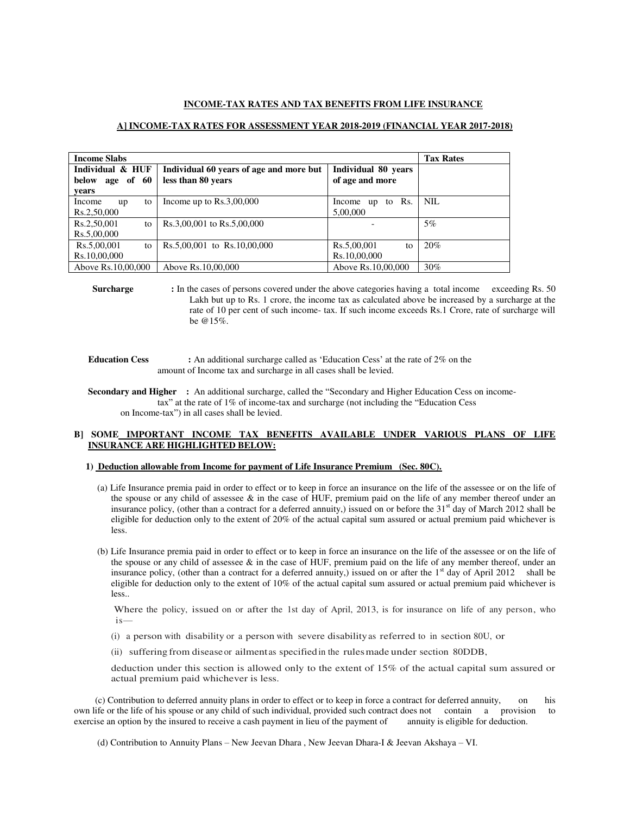#### **INCOME-TAX RATES AND TAX BENEFITS FROM LIFE INSURANCE**

# **A] INCOME-TAX RATES FOR ASSESSMENT YEAR 2018-2019 (FINANCIAL YEAR 2017-2018)**

| <b>Income Slabs</b>                             |                                                               |                                        | <b>Tax Rates</b> |
|-------------------------------------------------|---------------------------------------------------------------|----------------------------------------|------------------|
| Individual & HUF<br>age of 60<br>below<br>vears | Individual 60 years of age and more but<br>less than 80 years | Individual 80 years<br>of age and more |                  |
| Income<br>to<br>up<br>Rs.2,50,000               | Income up to $Rs.3,00,000$                                    | to Rs.<br>Income<br>up<br>5,00,000     | NIL.             |
| Rs.2,50,001<br>to<br>Rs.5,00,000                | Rs.3,00,001 to Rs.5,00,000                                    |                                        | $5\%$            |
| Rs.5,00,001<br>to<br>Rs.10,00,000               | Rs.5,00,001 to Rs.10,00,000                                   | Rs.5,00,001<br>to<br>Rs.10,00,000      | 20%              |
| Above Rs.10,00,000                              | Above Rs.10,00,000                                            | Above Rs.10,00,000                     | 30%              |

**Surcharge** : In the cases of persons covered under the above categories having a total income exceeding Rs. 50 Lakh but up to Rs. 1 crore, the income tax as calculated above be increased by a surcharge at the rate of 10 per cent of such income- tax. If such income exceeds Rs.1 Crore, rate of surcharge will be @15%.

**Education Cess** : An additional surcharge called as 'Education Cess' at the rate of 2% on the amount of Income tax and surcharge in all cases shall be levied.

# **Secondary and Higher :** An additional surcharge, called the "Secondary and Higher Education Cess on income tax" at the rate of 1% of income-tax and surcharge (not including the "Education Cess on Income-tax") in all cases shall be levied.

# **B] SOME IMPORTANT INCOME TAX BENEFITS AVAILABLE UNDER VARIOUS PLANS OF LIFE INSURANCE ARE HIGHLIGHTED BELOW:**

#### **1) Deduction allowable from Income for payment of Life Insurance Premium (Sec. 80C).**

- (a) Life Insurance premia paid in order to effect or to keep in force an insurance on the life of the assessee or on the life of the spouse or any child of assessee  $\&$  in the case of HUF, premium paid on the life of any member thereof under an insurance policy, (other than a contract for a deferred annuity,) issued on or before the  $31<sup>st</sup>$  day of March 2012 shall be eligible for deduction only to the extent of 20% of the actual capital sum assured or actual premium paid whichever is less.
- (b) Life Insurance premia paid in order to effect or to keep in force an insurance on the life of the assessee or on the life of the spouse or any child of assessee  $\&$  in the case of HUF, premium paid on the life of any member thereof, under an insurance policy, (other than a contract for a deferred annuity,) issued on or after the  $1<sup>st</sup>$  day of April 2012 shall be eligible for deduction only to the extent of 10% of the actual capital sum assured or actual premium paid whichever is less..

 Where the policy, issued on or after the 1st day of April, 2013, is for insurance on life of any person, who is—

- (i) a person with disability or a person with severe disability as referred to in section 80U, or
- (ii) suffering from disease or ailment as specified in the rules made under section 80DDB,

deduction under this section is allowed only to the extent of 15% of the actual capital sum assured or actual premium paid whichever is less.

 (c) Contribution to deferred annuity plans in order to effect or to keep in force a contract for deferred annuity, on his own life or the life of his spouse or any child of such individual, provided such contract does not contain a provision to exercise an option by the insured to receive a cash payment in lieu of the payment of annuity is eligible for deduction.

(d) Contribution to Annuity Plans – New Jeevan Dhara , New Jeevan Dhara-I & Jeevan Akshaya – VI.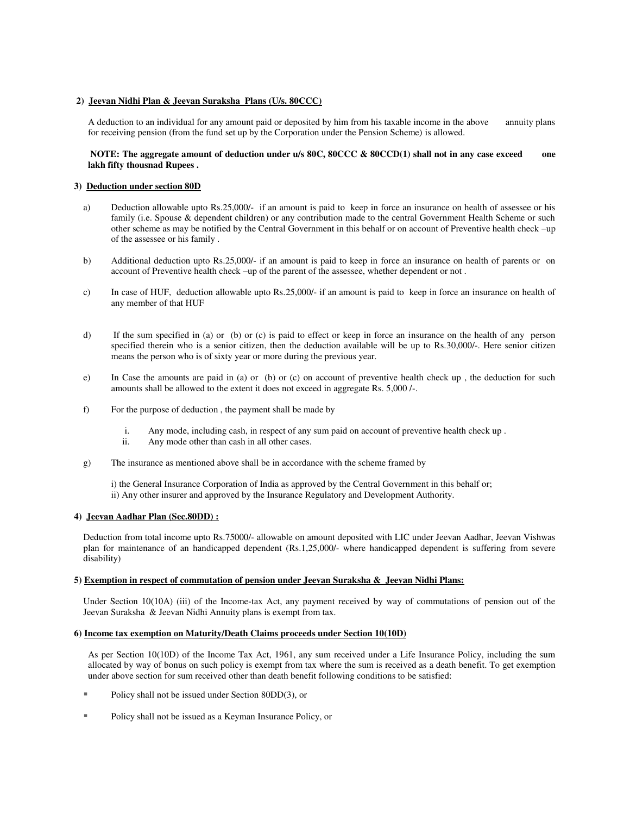## **2) Jeevan Nidhi Plan & Jeevan Suraksha Plans (U/s. 80CCC)**

A deduction to an individual for any amount paid or deposited by him from his taxable income in the above annuity plans for receiving pension (from the fund set up by the Corporation under the Pension Scheme) is allowed.

## **NOTE: The aggregate amount of deduction under u/s 80C, 80CCC & 80CCD(1) shall not in any case exceed one lakh fifty thousnad Rupees .**

## **3) Deduction under section 80D**

- a) Deduction allowable upto Rs.25,000/- if an amount is paid to keep in force an insurance on health of assessee or his family (i.e. Spouse & dependent children) or any contribution made to the central Government Health Scheme or such other scheme as may be notified by the Central Government in this behalf or on account of Preventive health check –up of the assessee or his family .
- b) Additional deduction upto Rs.25,000/- if an amount is paid to keep in force an insurance on health of parents or on account of Preventive health check –up of the parent of the assessee, whether dependent or not .
- c) In case of HUF, deduction allowable upto Rs.25,000/- if an amount is paid to keep in force an insurance on health of any member of that HUF
- d) If the sum specified in (a) or (b) or (c) is paid to effect or keep in force an insurance on the health of any person specified therein who is a senior citizen, then the deduction available will be up to Rs.30,000/-. Here senior citizen means the person who is of sixty year or more during the previous year.
- e) In Case the amounts are paid in (a) or (b) or (c) on account of preventive health check up , the deduction for such amounts shall be allowed to the extent it does not exceed in aggregate Rs. 5,000 /-.
- f) For the purpose of deduction , the payment shall be made by
	- i. Any mode, including cash, in respect of any sum paid on account of preventive health check up .
	- Any mode other than cash in all other cases.
- g) The insurance as mentioned above shall be in accordance with the scheme framed by

 i) the General Insurance Corporation of India as approved by the Central Government in this behalf or; ii) Any other insurer and approved by the Insurance Regulatory and Development Authority.

## **4) Jeevan Aadhar Plan (Sec.80DD) :**

Deduction from total income upto Rs.75000/- allowable on amount deposited with LIC under Jeevan Aadhar, Jeevan Vishwas plan for maintenance of an handicapped dependent (Rs.1,25,000/- where handicapped dependent is suffering from severe disability)

## **5) Exemption in respect of commutation of pension under Jeevan Suraksha & Jeevan Nidhi Plans:**

Under Section 10(10A) (iii) of the Income-tax Act, any payment received by way of commutations of pension out of the Jeevan Suraksha & Jeevan Nidhi Annuity plans is exempt from tax.

## **6) Income tax exemption on Maturity/Death Claims proceeds under Section 10(10D)**

As per Section 10(10D) of the Income Tax Act, 1961, any sum received under a Life Insurance Policy, including the sum allocated by way of bonus on such policy is exempt from tax where the sum is received as a death benefit. To get exemption under above section for sum received other than death benefit following conditions to be satisfied:

- Policy shall not be issued under Section 80DD(3), or
- Policy shall not be issued as a Keyman Insurance Policy, or